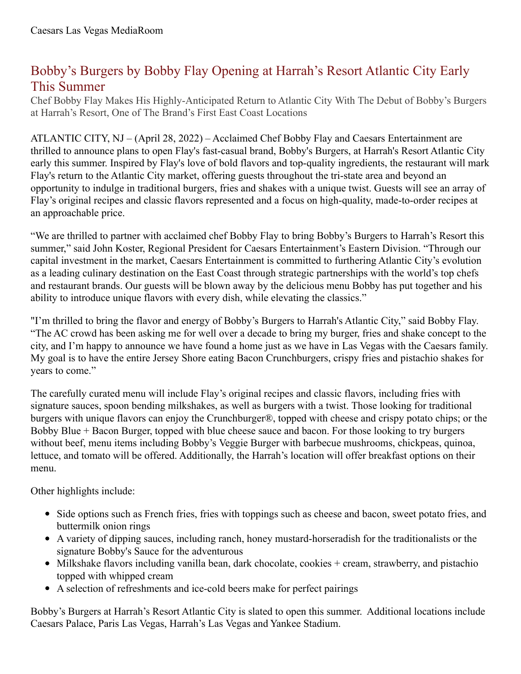## Bobby's Burgers by Bobby Flay Opening at Harrah's Resort Atlantic City Early This Summer

Chef Bobby Flay Makes His Highly-Anticipated Return to Atlantic City With The Debut of Bobby's Burgers at Harrah's Resort, One of The Brand's First East Coast Locations

ATLANTIC CITY, NJ – (April 28, 2022) – Acclaimed Chef Bobby Flay and Caesars Entertainment are thrilled to announce plans to open Flay's fast-casual brand, Bobby's Burgers, at Harrah's Resort Atlantic City early this summer. Inspired by Flay's love of bold flavors and top-quality ingredients, the restaurant will mark Flay's return to the Atlantic City market, offering guests throughout the tri-state area and beyond an opportunity to indulge in traditional burgers, fries and shakes with a unique twist. Guests will see an array of Flay's original recipes and classic flavors represented and a focus on high-quality, made-to-order recipes at an approachable price.

"We are thrilled to partner with acclaimed chef Bobby Flay to bring Bobby's Burgers to Harrah's Resort this summer," said John Koster, Regional President for Caesars Entertainment's Eastern Division. "Through our capital investment in the market, Caesars Entertainment is committed to furthering Atlantic City's evolution as a leading culinary destination on the East Coast through strategic partnerships with the world's top chefs and restaurant brands. Our guests will be blown away by the delicious menu Bobby has put together and his ability to introduce unique flavors with every dish, while elevating the classics."

"I'm thrilled to bring the flavor and energy of Bobby's Burgers to Harrah's Atlantic City," said Bobby Flay. "The AC crowd has been asking me for well over a decade to bring my burger, fries and shake concept to the city, and I'm happy to announce we have found a home just as we have in Las Vegas with the Caesars family. My goal is to have the entire Jersey Shore eating Bacon Crunchburgers, crispy fries and pistachio shakes for years to come."

The carefully curated menu will include Flay's original recipes and classic flavors, including fries with signature sauces, spoon bending milkshakes, as well as burgers with a twist. Those looking for traditional burgers with unique flavors can enjoy the Crunchburger®, topped with cheese and crispy potato chips; or the Bobby Blue + Bacon Burger, topped with blue cheese sauce and bacon. For those looking to try burgers without beef, menu items including Bobby's Veggie Burger with barbecue mushrooms, chickpeas, quinoa, lettuce, and tomato will be offered. Additionally, the Harrah's location will offer breakfast options on their menu.

Other highlights include:

- Side options such as French fries, fries with toppings such as cheese and bacon, sweet potato fries, and buttermilk onion rings
- A variety of dipping sauces, including ranch, honey mustard-horseradish for the traditionalists or the signature Bobby's Sauce for the adventurous
- Milkshake flavors including vanilla bean, dark chocolate, cookies + cream, strawberry, and pistachio topped with whipped cream
- A selection of refreshments and ice-cold beers make for perfect pairings

Bobby's Burgers at Harrah's Resort Atlantic City is slated to open this summer. Additional locations include Caesars Palace, Paris Las Vegas, Harrah's Las Vegas and Yankee Stadium.